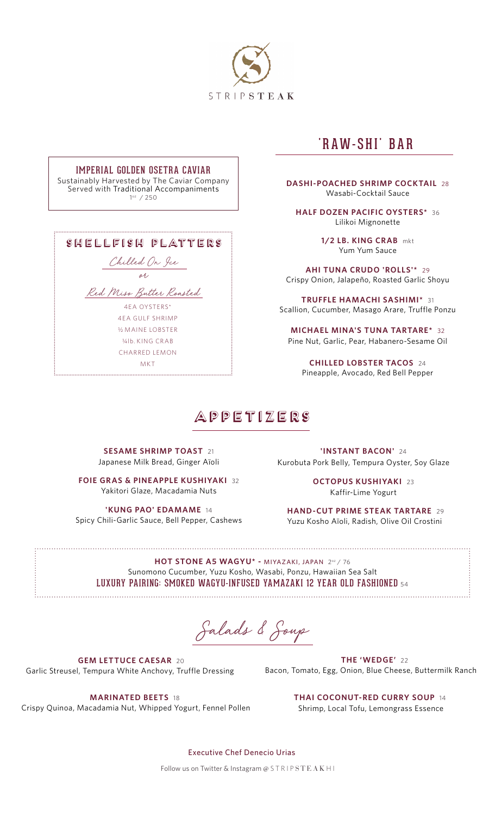

### IMPERIAL GOLDEN OSETRA CAVIAR

Sustainably Harvested by The Caviar Company Served with Traditional Accompaniments 1oz / 250

| SHELLFISH PLATTERS         |
|----------------------------|
| Chilled On Jee             |
| oh,                        |
| Red Miss Butter Roasted    |
| 4FA OYSTERS*               |
| 4FA GULF SHRIMP            |
| <b>36 MAINE LOBSTER</b>    |
| $\frac{1}{4}$ lb KING CRAB |
| CHARRED I FMON             |
| MK T                       |

## 'RAW-SHI' BAR

**DASHI-POACHED SHRIMP COCKTAIL** 28 Wasabi-Cocktail Sauce

**HALF DOZEN PACIFIC OYSTERS\*** 36 Lilikoi Mignonette

> **1/2 LB. KING CRAB** mkt Yum Yum Sauce

**AHI TUNA CRUDO 'ROLLS'\*** 29 Crispy Onion, Jalapeño, Roasted Garlic Shoyu

**TRUFFLE HAMACHI SASHIMI\*** 31 Scallion, Cucumber, Masago Arare, Truffle Ponzu

**MICHAEL MINA'S TUNA TARTARE\*** 32 Pine Nut, Garlic, Pear, Habanero-Sesame Oil

**CHILLED LOBSTER TACOS** 24 Pineapple, Avocado, Red Bell Pepper

### appetizers

**SESAME SHRIMP TOAST** 21 Japanese Milk Bread, Ginger Aïoli

**FOIE GRAS & PINEAPPLE KUSHIYAKI 32** Yakitori Glaze, Macadamia Nuts

**'KUNG PAO' EDAMAME** 14 Spicy Chili-Garlic Sauce, Bell Pepper, Cashews

**'INSTANT BACON'** 24 Kurobuta Pork Belly, Tempura Oyster, Soy Glaze

> **OCTOPUS KUSHIYAKI** 23 Kaffir-Lime Yogurt

 **HAND-CUT PRIME STEAK TARTARE** 29 Yuzu Kosho Aïoli, Radish, Olive Oil Crostini

**HOT STONE A5 WAGYU\* -** MIYAZAKI, JAPAN2oz / 76 Sunomono Cucumber, Yuzu Kosho, Wasabi, Ponzu, Hawaiian Sea Salt LUXURY PAIRING: SMOKED WAGYU-INFUSED YAMAZAKI 12 YEAR OLD FASHIONED <sup>54</sup>

Salads & Soup

 **GEM LETTUCE CAESAR** 20 Garlic Streusel, Tempura White Anchovy, Truffle Dressing

**THE 'WEDGE'** 22 Bacon, Tomato, Egg, Onion, Blue Cheese, Buttermilk Ranch

**MARINATED BEETS** 18 Crispy Quinoa, Macadamia Nut, Whipped Yogurt, Fennel Pollen **THAI COCONUT-RED CURRY SOUP** 14 Shrimp, Local Tofu, Lemongrass Essence

Executive Chef Denecio Urias

Follow us on Twitter & Instagram @ STRIP STEAK HI